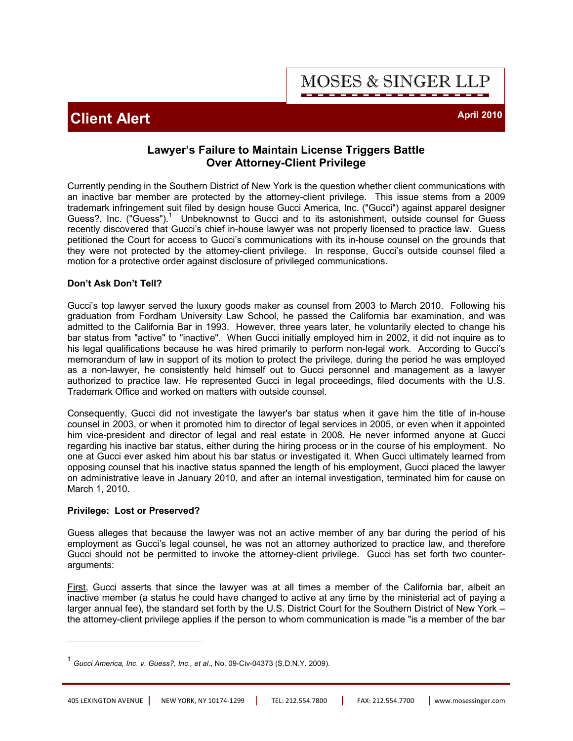**MOSES & SINGER LLP** 

## **Client Alert April 2010**

### **Lawyer's Failure to Maintain License Triggers Battle Over Attorney-Client Privilege**

Currently pending in the Southern District of New York is the question whether client communications with an inactive bar member are protected by the attorney-client privilege. This issue stems from a 2009 trademark infringement suit filed by design house Gucci America, Inc. ("Gucci") against apparel designer Guess?, Inc. ("Guess").<sup>1</sup> Unbeknownst to Gucci and to its astonishment, outside counsel for Guess recently discovered that Gucci's chief in-house lawyer was not properly licensed to practice law. Guess petitioned the Court for access to Gucci's communications with its in-house counsel on the grounds that they were not protected by the attorney-client privilege. In response, Gucci's outside counsel filed a motion for a protective order against disclosure of privileged communications.

### **Don't Ask Don't Tell?**

Gucci's top lawyer served the luxury goods maker as counsel from 2003 to March 2010. Following his graduation from Fordham University Law School, he passed the California bar examination, and was admitted to the California Bar in 1993. However, three years later, he voluntarily elected to change his bar status from "active" to "inactive". When Gucci initially employed him in 2002, it did not inquire as to his legal qualifications because he was hired primarily to perform non-legal work. According to Gucci's memorandum of law in support of its motion to protect the privilege, during the period he was employed as a non-lawyer, he consistently held himself out to Gucci personnel and management as a lawyer authorized to practice law. He represented Gucci in legal proceedings, filed documents with the U.S. Trademark Office and worked on matters with outside counsel.

Consequently, Gucci did not investigate the lawyer's bar status when it gave him the title of in-house counsel in 2003, or when it promoted him to director of legal services in 2005, or even when it appointed him vice-president and director of legal and real estate in 2008. He never informed anyone at Gucci regarding his inactive bar status, either during the hiring process or in the course of his employment. No one at Gucci ever asked him about his bar status or investigated it. When Gucci ultimately learned from opposing counsel that his inactive status spanned the length of his employment, Gucci placed the lawyer on administrative leave in January 2010, and after an internal investigation, terminated him for cause on March 1, 2010.

#### **Privilege: Lost or Preserved?**

Guess alleges that because the lawyer was not an active member of any bar during the period of his employment as Gucci's legal counsel, he was not an attorney authorized to practice law, and therefore Gucci should not be permitted to invoke the attorney-client privilege. Gucci has set forth two counterarguments:

First, Gucci asserts that since the lawyer was at all times a member of the California bar, albeit an inactive member (a status he could have changed to active at any time by the ministerial act of paying a larger annual fee), the standard set forth by the U.S. District Court for the Southern District of New York – the attorney-client privilege applies if the person to whom communication is made "is a member of the bar

<sup>1</sup> *Gucci America, Inc. v. Guess?, Inc., et al*., No. 09-Civ-04373 (S.D.N.Y. 2009).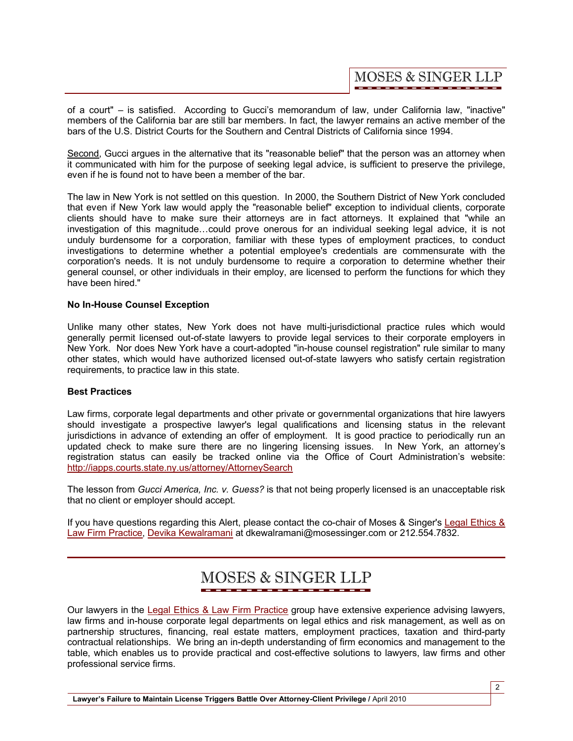**MOSES & SINGER LLP** 

of a court" – is satisfied. According to Gucci's memorandum of law, under California law, "inactive" members of the California bar are still bar members. In fact, the lawyer remains an active member of the bars of the U.S. District Courts for the Southern and Central Districts of California since 1994.

Second, Gucci argues in the alternative that its "reasonable belief" that the person was an attorney when it communicated with him for the purpose of seeking legal advice, is sufficient to preserve the privilege, even if he is found not to have been a member of the bar.

The law in New York is not settled on this question. In 2000, the Southern District of New York concluded that even if New York law would apply the "reasonable belief" exception to individual clients, corporate clients should have to make sure their attorneys are in fact attorneys. It explained that "while an investigation of this magnitude…could prove onerous for an individual seeking legal advice, it is not unduly burdensome for a corporation, familiar with these types of employment practices, to conduct investigations to determine whether a potential employee's credentials are commensurate with the corporation's needs. It is not unduly burdensome to require a corporation to determine whether their general counsel, or other individuals in their employ, are licensed to perform the functions for which they have been hired."

#### **No In-House Counsel Exception**

Unlike many other states, New York does not have multi-jurisdictional practice rules which would generally permit licensed out-of-state lawyers to provide legal services to their corporate employers in New York. Nor does New York have a court-adopted "in-house counsel registration" rule similar to many other states, which would have authorized licensed out-of-state lawyers who satisfy certain registration requirements, to practice law in this state.

### **Best Practices**

Law firms, corporate legal departments and other private or governmental organizations that hire lawyers should investigate a prospective lawyer's legal qualifications and licensing status in the relevant jurisdictions in advance of extending an offer of employment. It is good practice to periodically run an updated check to make sure there are no lingering licensing issues. In New York, an attorney's registration status can easily be tracked online via the Office of Court Administration's website: <http://iapps.courts.state.ny.us/attorney/AttorneySearch>

The lesson from *Gucci America, Inc. v. Guess?* is that not being properly licensed is an unacceptable risk that no client or employer should accept.

[If you have questions regarding this Alert, please contact the co-chair of Moses & Singer's Legal Ethics &](http://www.mosessinger.com/LegalEthics/)  Law Firm Practice, [Devika Kewalramani](http://www.mosessinger.com/personnel/dkewalramani/) at dkewalramani@mosessinger.com or 212.554.7832.

# **MOSES & SINGER LLP**

Our lawyers in the [Legal Ethics & Law Firm Practice](http://www.mosessinger.com/LegalEthics/) group have extensive experience advising lawyers, law firms and in-house corporate legal departments on legal ethics and risk management, as well as on partnership structures, financing, real estate matters, employment practices, taxation and third-party contractual relationships. We bring an in-depth understanding of firm economics and management to the table, which enables us to provide practical and cost-effective solutions to lawyers, law firms and other professional service firms.

Lawyer's Failure to Maintain License Triggers Battle Over Attorney-Client Privilege / April 2010